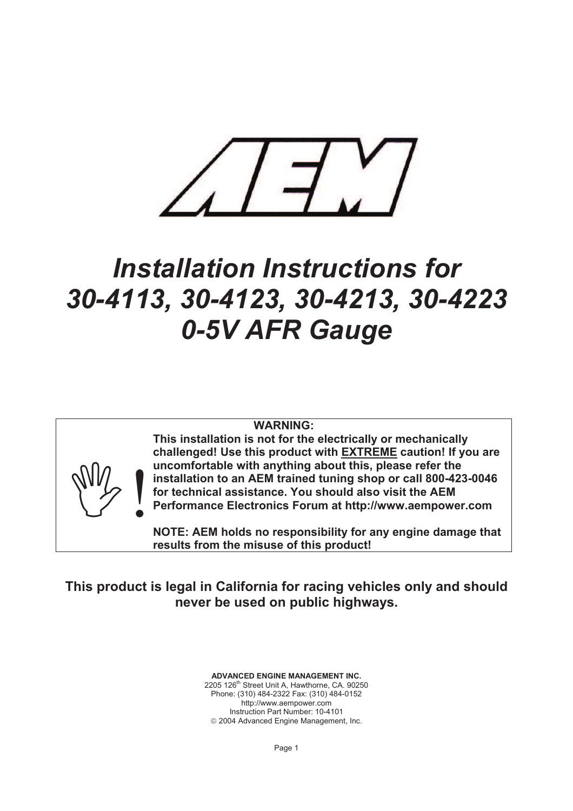

# *Installation Instructions for 30-4113, 30-4123, 30-4213, 30-4223 0-5V AFR Gauge*

# **WARNING:**



**uncomfortable with anything about this, please refer the installation to an AEM trained tuning shop or call 800-423-0046 for technical assistance. You should also visit the AEM Performance Electronics Forum at http://www.aempower.com This installation is not for the electrically or mechanically challenged! Use this product with EXTREME caution! If you are** 

**NOTE: AEM holds no responsibility for any engine damage tha t results from the misuse of this product!**

**This product is legal in California for racing vehicles only and should never be used on public highways.** 

> **ADVANCED ENGINE MANAGEMENT INC.**  2205 126th Street Unit A, Hawthorne, CA. 90250 Phone: (310) 484-2322 Fax: (310) 484-0152 http://www.aempower.com Instruction Part Number: 10-4101  $© 2004$  Advanced Engine Management, Inc.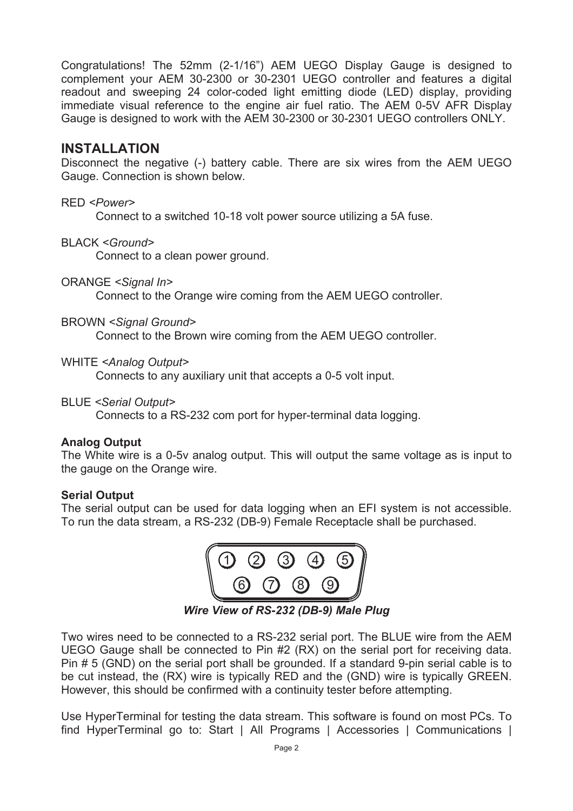Congratulations! The 52mm (2-1/16") AEM UEGO Display Gauge is designed to complement your AEM 30-2300 or 30-2301 UEGO controller and features a digital readout and sweeping 24 color-coded light emitting diode (LED) display, providing immediate visual reference to the engine air fuel ratio. The AEM 0-5V AFR Display Gauge is designed to work with the AEM 30-2300 or 30-2301 UEGO controllers ONLY.

# **INSTALLATION**

Disconnect the negative (-) battery cable. There are six wires from the AEM UEGO Gauge. Connection is shown below.

#### RED *<Power>*

Connect to a switched 10-18 volt power source utilizing a 5A fuse.

#### BLACK *<Ground>*

Connect to a clean power ground.

#### ORANGE *<Signal In>*

Connect to the Orange wire coming from the AEM UEGO controller.

#### BROWN *<Signal Ground>*

Connect to the Brown wire coming from the AEM UEGO controller.

#### WHITE *<Analog Output>*

Connects to any auxiliary unit that accepts a 0-5 volt input.

#### BLUE *<Serial Output>*

Connects to a RS-232 com port for hyper-terminal data logging.

# **Analog Output**

The White wire is a 0-5v analog output. This will output the same voltage as is input to the gauge on the Orange wire.

# **Serial Output**

The serial output can be used for data logging when an EFI system is not accessible. To run the data stream, a RS-232 (DB-9) Female Receptacle shall be purchased.



*Wire View of RS-232 (DB-9) Male Plug* 

Two wires need to be connected to a RS-232 serial port. The BLUE wire from the AEM UEGO Gauge shall be connected to Pin #2 (RX) on the serial port for receiving data. Pin # 5 (GND) on the serial port shall be grounded. If a standard 9-pin serial cable is to be cut instead, the (RX) wire is typically RED and the (GND) wire is typically GREEN. However, this should be confirmed with a continuity tester before attempting.

Use HyperTerminal for testing the data stream. This software is found on most PCs. To find HyperTerminal go to: Start | All Programs | Accessories | Communications |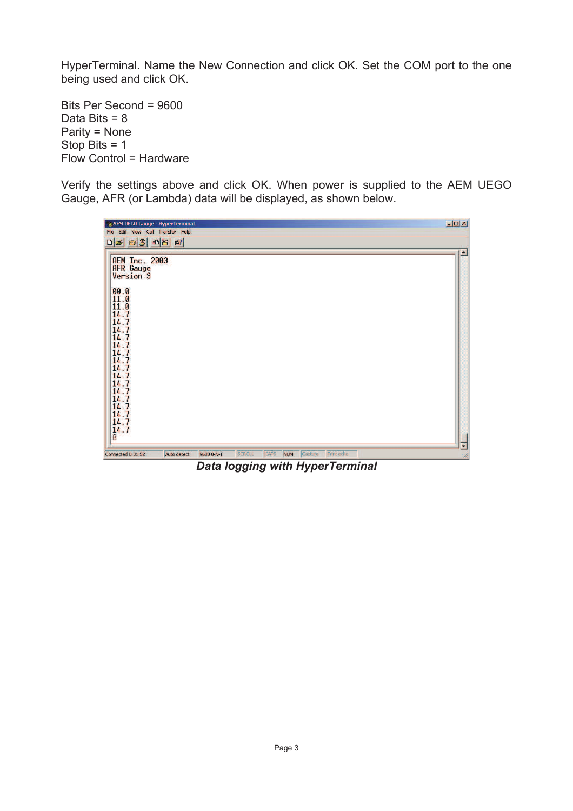HyperTerminal. Name the New Connection and click OK. Set the COM port to the one being used and click OK.

Bits Per Second = 9600 Data Bits = 8 Parity = None Stop Bits = 1 Flow Control = Hardware

Verify the settings above and click OK. When power is supplied to the AEM UEGO Gauge, AFR (or Lambda) data will be displayed, as shown below.

| AEM UEGO Gauge - HyperTerminal<br>File Edit View Call Transfer Help                                                                                                                                                                                                                                                                  |             |            |        |             |            |         |            |  | $ \Box$ $\times$ |   |
|--------------------------------------------------------------------------------------------------------------------------------------------------------------------------------------------------------------------------------------------------------------------------------------------------------------------------------------|-------------|------------|--------|-------------|------------|---------|------------|--|------------------|---|
| <b>AEM Inc. 2003</b><br><b>AFR</b> Gauge<br>$\begin{array}{c} 00.0 \\ 11.0 \\ 11.0 \end{array}$<br>$\frac{14.7}{14.7}$<br>14.7<br>$\frac{14.7}{14.7}$<br>$\begin{bmatrix} 14.7 \\ 14.7 \\ 14.7 \end{bmatrix}$<br>$14.7$<br>$14.7$<br>$14.7$<br>$14.7$<br>$14.7$<br>$\begin{bmatrix} 14.7 \\ 14.7 \\ 14.7 \\ 14.7 \\ 0 \end{bmatrix}$ |             |            |        |             |            |         |            |  | ≛                |   |
| Connected 0:01:52                                                                                                                                                                                                                                                                                                                    | Auto detect | 9600 8-N-1 | SCROLL | <b>CAPS</b> | <b>NUM</b> | Capture | Print echo |  |                  | ۰ |

*Data logging with HyperTerminal*